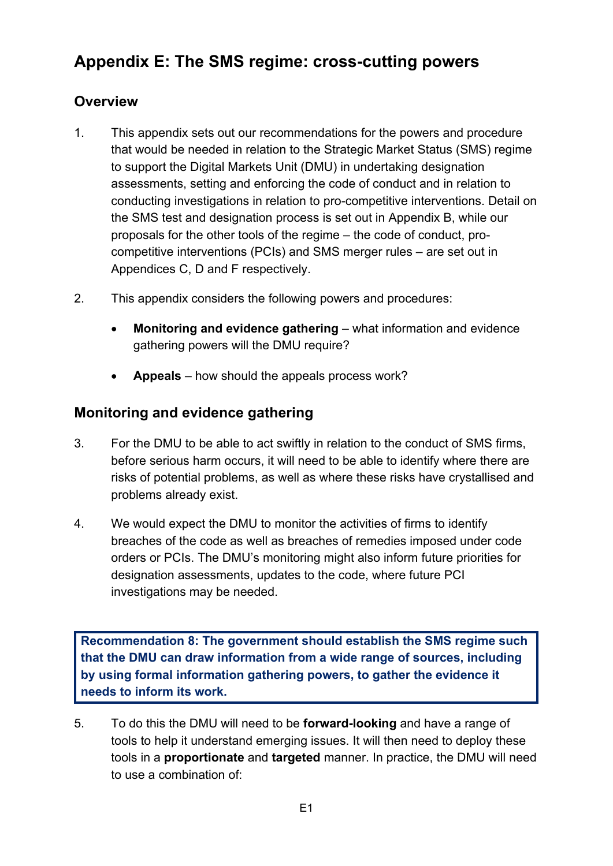# **Appendix E: The SMS regime: cross-cutting powers**

## **Overview**

- 1. This appendix sets out our recommendations for the powers and procedure that would be needed in relation to the Strategic Market Status (SMS) regime to support the Digital Markets Unit (DMU) in undertaking designation assessments, setting and enforcing the code of conduct and in relation to conducting investigations in relation to pro-competitive interventions. Detail on the SMS test and designation process is set out in Appendix B, while our proposals for the other tools of the regime – the code of conduct, procompetitive interventions (PCIs) and SMS merger rules – are set out in Appendices C, D and F respectively.
- 2. This appendix considers the following powers and procedures:
	- Monitoring and evidence gathering what information and evidence gathering powers will the DMU require?
	- **Appeals**  how should the appeals process work?

## **Monitoring and evidence gathering**

- 3. For the DMU to be able to act swiftly in relation to the conduct of SMS firms, before serious harm occurs, it will need to be able to identify where there are risks of potential problems, as well as where these risks have crystallised and problems already exist.
- 4. We would expect the DMU to monitor the activities of firms to identify breaches of the code as well as breaches of remedies imposed under code orders or PCIs. The DMU's monitoring might also inform future priorities for designation assessments, updates to the code, where future PCI investigations may be needed.

**Recommendation 8: The government should establish the SMS regime such that the DMU can draw information from a wide range of sources, including by using formal information gathering powers, to gather the evidence it needs to inform its work.** 

5. To do this the DMU will need to be **forward-looking** and have a range of tools to help it understand emerging issues. It will then need to deploy these tools in a **proportionate** and **targeted** manner. In practice, the DMU will need to use a combination of: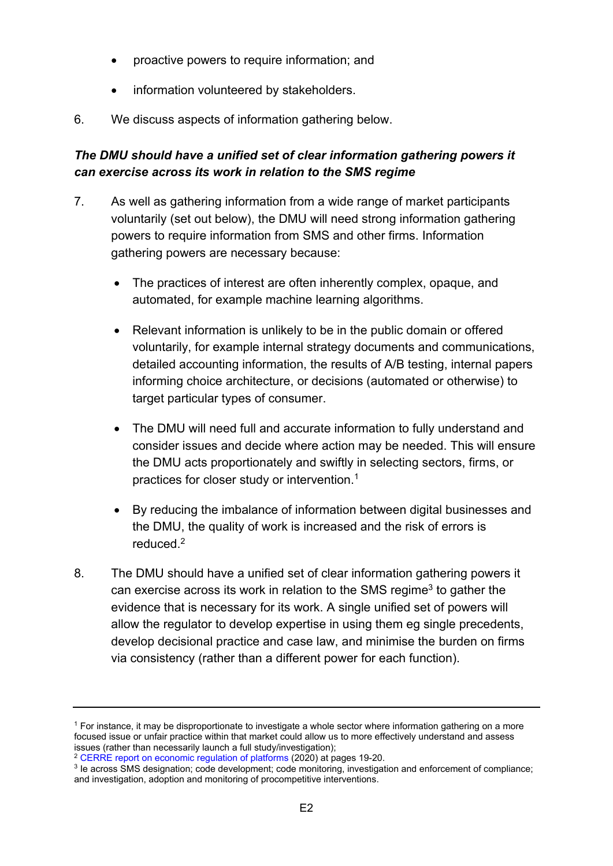- proactive powers to require information; and
- information volunteered by stakeholders.
- 6. We discuss aspects of information gathering below.

## *The DMU should have a unified set of clear information gathering powers it can exercise across its work in relation to the SMS regime*

- 7. As well as gathering information from a wide range of market participants voluntarily (set out below), the DMU will need strong information gathering powers to require information from SMS and other firms. Information gathering powers are necessary because:
	- The practices of interest are often inherently complex, opaque, and automated, for example machine learning algorithms.
	- Relevant information is unlikely to be in the public domain or offered voluntarily, for example internal strategy documents and communications, detailed accounting information, the results of A/B testing, internal papers informing choice architecture, or decisions (automated or otherwise) to target particular types of consumer.
	- The DMU will need full and accurate information to fully understand and consider issues and decide where action may be needed. This will ensure the DMU acts proportionately and swiftly in selecting sectors, firms, or practices for closer study or intervention. 1
	- By reducing the imbalance of information between digital businesses and the DMU, the quality of work is increased and the risk of errors is reduced.<sup>2</sup>
- 8. The DMU should have a unified set of clear information gathering powers it can exercise across its work in relation to the SMS regime<sup>3</sup> to gather the evidence that is necessary for its work. A single unified set of powers will allow the regulator to develop expertise in using them eg single precedents, develop decisional practice and case law, and minimise the burden on firms via consistency (rather than a different power for each function).

<sup>1</sup> For instance, it may be disproportionate to investigate a whole sector where information gathering on a more focused issue or unfair practice within that market could allow us to more effectively understand and assess issues (rather than necessarily launch a full study/investigation);

<sup>2</sup> [CERRE report on economic regulation of platforms](https://cerre.eu/publications/digital-markets-act-economic-regulation-platforms-digital-age/) (2020) at pages 19-20.

<sup>&</sup>lt;sup>3</sup> le across SMS designation; code development; code monitoring, investigation and enforcement of compliance; and investigation, adoption and monitoring of procompetitive interventions.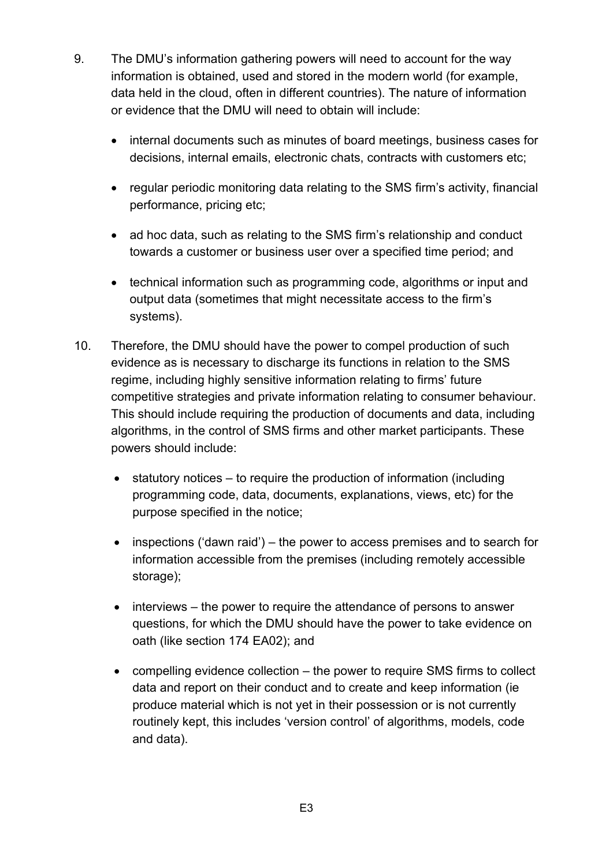- 9. The DMU's information gathering powers will need to account for the way information is obtained, used and stored in the modern world (for example, data held in the cloud, often in different countries). The nature of information or evidence that the DMU will need to obtain will include:
	- internal documents such as minutes of board meetings, business cases for decisions, internal emails, electronic chats, contracts with customers etc;
	- regular periodic monitoring data relating to the SMS firm's activity, financial performance, pricing etc;
	- ad hoc data, such as relating to the SMS firm's relationship and conduct towards a customer or business user over a specified time period; and
	- technical information such as programming code, algorithms or input and output data (sometimes that might necessitate access to the firm's systems).
- 10. Therefore, the DMU should have the power to compel production of such evidence as is necessary to discharge its functions in relation to the SMS regime, including highly sensitive information relating to firms' future competitive strategies and private information relating to consumer behaviour. This should include requiring the production of documents and data, including algorithms, in the control of SMS firms and other market participants. These powers should include:
	- statutory notices to require the production of information (including programming code, data, documents, explanations, views, etc) for the purpose specified in the notice;
	- inspections ('dawn raid') the power to access premises and to search for information accessible from the premises (including remotely accessible storage);
	- interviews the power to require the attendance of persons to answer questions, for which the DMU should have the power to take evidence on oath (like section 174 EA02); and
	- compelling evidence collection the power to require SMS firms to collect data and report on their conduct and to create and keep information (ie produce material which is not yet in their possession or is not currently routinely kept, this includes 'version control' of algorithms, models, code and data).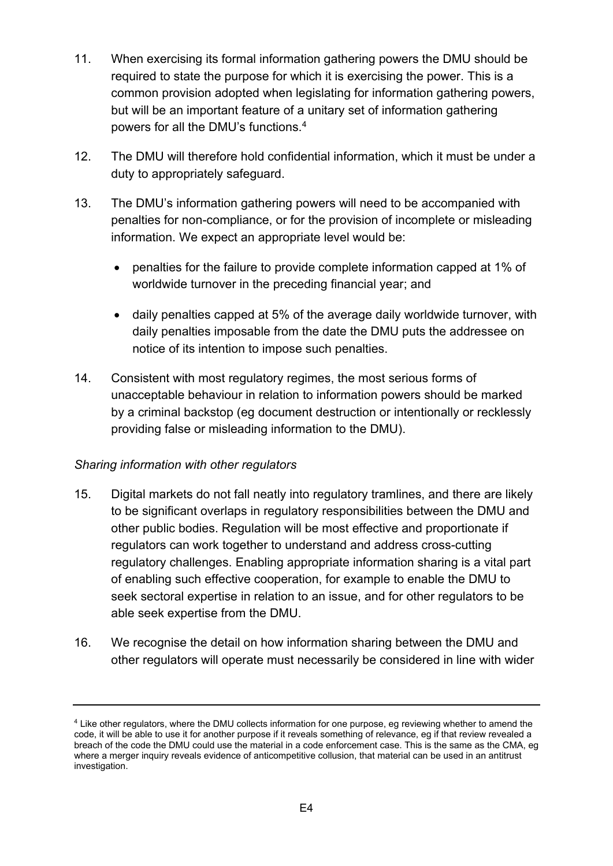- 11. When exercising its formal information gathering powers the DMU should be required to state the purpose for which it is exercising the power. This is a common provision adopted when legislating for information gathering powers, but will be an important feature of a unitary set of information gathering powers for all the DMU's functions.<sup>4</sup>
- 12. The DMU will therefore hold confidential information, which it must be under a duty to appropriately safeguard.
- 13. The DMU's information gathering powers will need to be accompanied with penalties for non-compliance, or for the provision of incomplete or misleading information. We expect an appropriate level would be:
	- penalties for the failure to provide complete information capped at 1% of worldwide turnover in the preceding financial year; and
	- daily penalties capped at 5% of the average daily worldwide turnover, with daily penalties imposable from the date the DMU puts the addressee on notice of its intention to impose such penalties.
- 14. Consistent with most regulatory regimes, the most serious forms of unacceptable behaviour in relation to information powers should be marked by a criminal backstop (eg document destruction or intentionally or recklessly providing false or misleading information to the DMU).

### *Sharing information with other regulators*

- 15. Digital markets do not fall neatly into regulatory tramlines, and there are likely to be significant overlaps in regulatory responsibilities between the DMU and other public bodies. Regulation will be most effective and proportionate if regulators can work together to understand and address cross-cutting regulatory challenges. Enabling appropriate information sharing is a vital part of enabling such effective cooperation, for example to enable the DMU to seek sectoral expertise in relation to an issue, and for other regulators to be able seek expertise from the DMU.
- 16. We recognise the detail on how information sharing between the DMU and other regulators will operate must necessarily be considered in line with wider

<sup>4</sup> Like other regulators, where the DMU collects information for one purpose, eg reviewing whether to amend the code, it will be able to use it for another purpose if it reveals something of relevance, eg if that review revealed a breach of the code the DMU could use the material in a code enforcement case. This is the same as the CMA, eg where a merger inquiry reveals evidence of anticompetitive collusion, that material can be used in an antitrust investigation.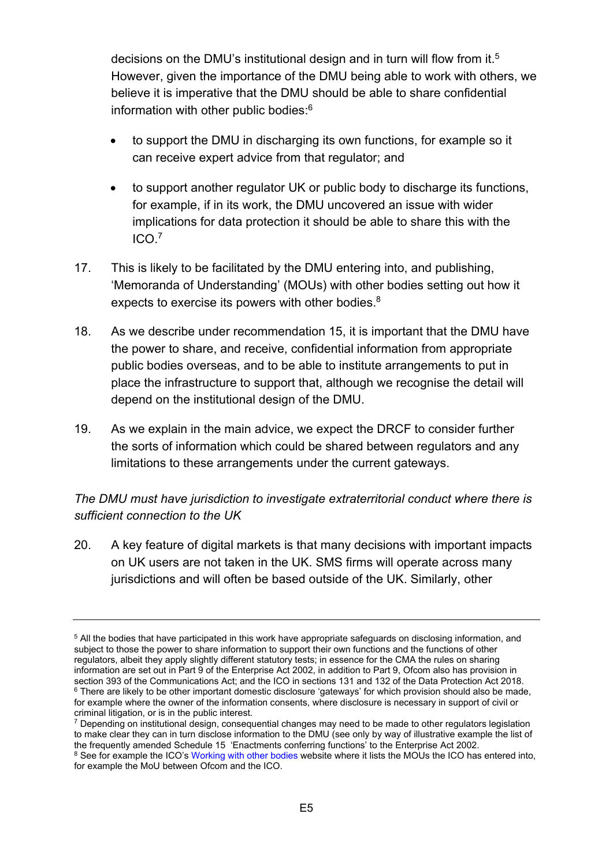decisions on the DMU's institutional design and in turn will flow from it.<sup>5</sup> However, given the importance of the DMU being able to work with others, we believe it is imperative that the DMU should be able to share confidential information with other public bodies: 6

- to support the DMU in discharging its own functions, for example so it can receive expert advice from that regulator; and
- to support another regulator UK or public body to discharge its functions, for example, if in its work, the DMU uncovered an issue with wider implications for data protection it should be able to share this with the ICO.<sup>7</sup>
- 17. This is likely to be facilitated by the DMU entering into, and publishing, 'Memoranda of Understanding' (MOUs) with other bodies setting out how it expects to exercise its powers with other bodies.<sup>8</sup>
- 18. As we describe under recommendation 15, it is important that the DMU have the power to share, and receive, confidential information from appropriate public bodies overseas, and to be able to institute arrangements to put in place the infrastructure to support that, although we recognise the detail will depend on the institutional design of the DMU.
- 19. As we explain in the main advice, we expect the DRCF to consider further the sorts of information which could be shared between regulators and any limitations to these arrangements under the current gateways.

### *The DMU must have jurisdiction to investigate extraterritorial conduct where there is sufficient connection to the UK*

20. A key feature of digital markets is that many decisions with important impacts on UK users are not taken in the UK. SMS firms will operate across many jurisdictions and will often be based outside of the UK. Similarly, other

<sup>5</sup> All the bodies that have participated in this work have appropriate safeguards on disclosing information, and subject to those the power to share information to support their own functions and the functions of other regulators, albeit they apply slightly different statutory tests; in essence for the CMA the rules on sharing information are set out in Part 9 of the Enterprise Act 2002, in addition to Part 9, Ofcom also has provision in section 393 of the Communications Act; and the ICO in sections 131 and 132 of the Data Protection Act 2018. <sup>6</sup> There are likely to be other important domestic disclosure 'gateways' for which provision should also be made, for example where the owner of the information consents, where disclosure is necessary in support of civil or criminal litigation, or is in the public interest.

<sup>7</sup> Depending on institutional design, consequential changes may need to be made to other regulators legislation to make clear they can in turn disclose information to the DMU (see only by way of illustrative example the list of the frequently amended Schedule 15 'Enactments conferring functions' to the Enterprise Act 2002.

<sup>&</sup>lt;sup>8</sup> See for example the ICO's [Working with other bodies](https://ico.org.uk/about-the-ico/our-information/working-with-other-bodies/) website where it lists the MOUs the ICO has entered into, for example the MoU between Ofcom and the ICO.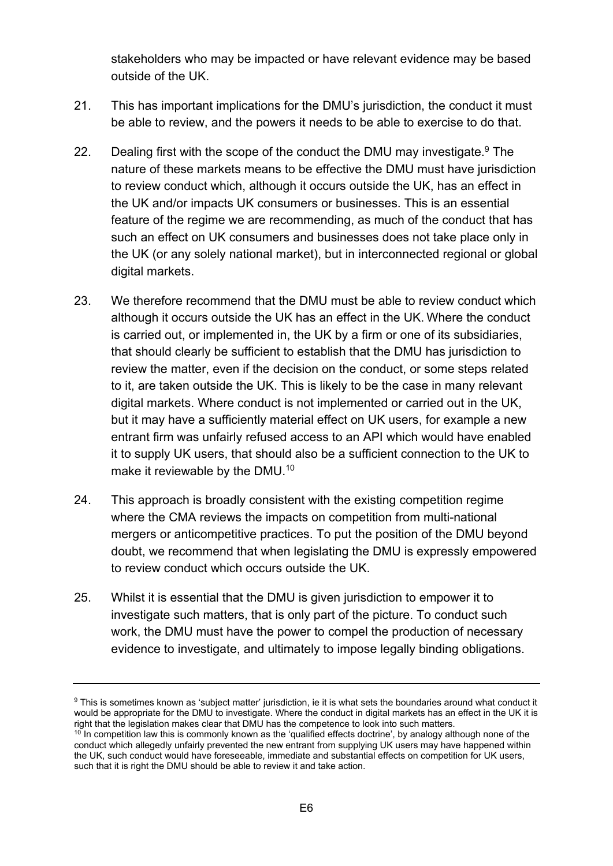stakeholders who may be impacted or have relevant evidence may be based outside of the UK.

- 21. This has important implications for the DMU's jurisdiction, the conduct it must be able to review, and the powers it needs to be able to exercise to do that.
- 22. Dealing first with the scope of the conduct the DMU may investigate.<sup>9</sup> The nature of these markets means to be effective the DMU must have jurisdiction to review conduct which, although it occurs outside the UK, has an effect in the UK and/or impacts UK consumers or businesses. This is an essential feature of the regime we are recommending, as much of the conduct that has such an effect on UK consumers and businesses does not take place only in the UK (or any solely national market), but in interconnected regional or global digital markets.
- 23. We therefore recommend that the DMU must be able to review conduct which although it occurs outside the UK has an effect in the UK. Where the conduct is carried out, or implemented in, the UK by a firm or one of its subsidiaries, that should clearly be sufficient to establish that the DMU has jurisdiction to review the matter, even if the decision on the conduct, or some steps related to it, are taken outside the UK. This is likely to be the case in many relevant digital markets. Where conduct is not implemented or carried out in the UK, but it may have a sufficiently material effect on UK users, for example a new entrant firm was unfairly refused access to an API which would have enabled it to supply UK users, that should also be a sufficient connection to the UK to make it reviewable by the DMU. 10
- 24. This approach is broadly consistent with the existing competition regime where the CMA reviews the impacts on competition from multi-national mergers or anticompetitive practices. To put the position of the DMU beyond doubt, we recommend that when legislating the DMU is expressly empowered to review conduct which occurs outside the UK.
- 25. Whilst it is essential that the DMU is given jurisdiction to empower it to investigate such matters, that is only part of the picture. To conduct such work, the DMU must have the power to compel the production of necessary evidence to investigate, and ultimately to impose legally binding obligations.

<sup>&</sup>lt;sup>9</sup> This is sometimes known as 'subject matter' jurisdiction, ie it is what sets the boundaries around what conduct it would be appropriate for the DMU to investigate. Where the conduct in digital markets has an effect in the UK it is right that the legislation makes clear that DMU has the competence to look into such matters.

 $10$  In competition law this is commonly known as the 'qualified effects doctrine', by analogy although none of the conduct which allegedly unfairly prevented the new entrant from supplying UK users may have happened within the UK, such conduct would have foreseeable, immediate and substantial effects on competition for UK users, such that it is right the DMU should be able to review it and take action.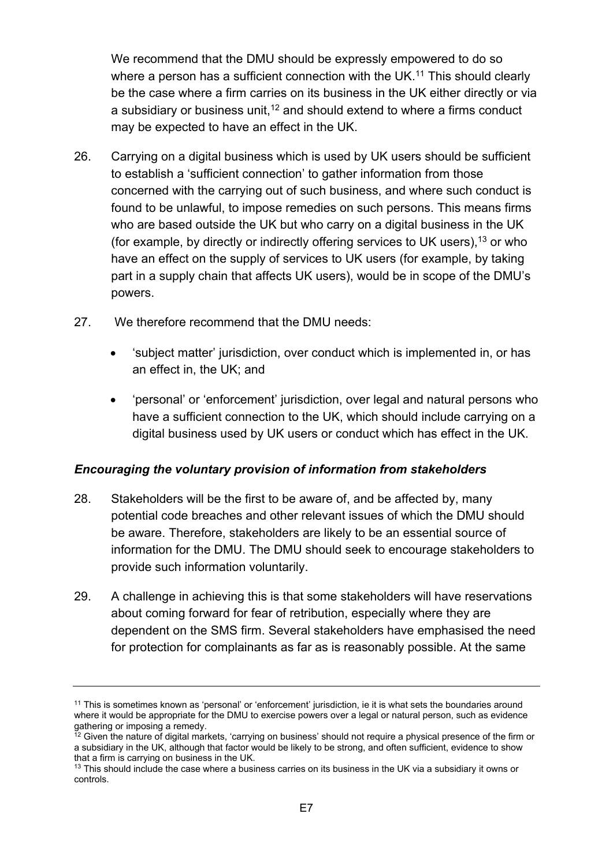We recommend that the DMU should be expressly empowered to do so where a person has a sufficient connection with the UK.<sup>11</sup> This should clearly be the case where a firm carries on its business in the UK either directly or via a subsidiary or business unit, $^{\text{12}}$  and should extend to where a firms conduct may be expected to have an effect in the UK.

- 26. Carrying on a digital business which is used by UK users should be sufficient to establish a 'sufficient connection' to gather information from those concerned with the carrying out of such business, and where such conduct is found to be unlawful, to impose remedies on such persons. This means firms who are based outside the UK but who carry on a digital business in the UK (for example, by directly or indirectly offering services to UK users), <sup>13</sup> or who have an effect on the supply of services to UK users (for example, by taking part in a supply chain that affects UK users), would be in scope of the DMU's powers.
- 27. We therefore recommend that the DMU needs:
	- 'subject matter' jurisdiction, over conduct which is implemented in, or has an effect in, the UK; and
	- 'personal' or 'enforcement' jurisdiction, over legal and natural persons who have a sufficient connection to the UK, which should include carrying on a digital business used by UK users or conduct which has effect in the UK.

### *Encouraging the voluntary provision of information from stakeholders*

- 28. Stakeholders will be the first to be aware of, and be affected by, many potential code breaches and other relevant issues of which the DMU should be aware. Therefore, stakeholders are likely to be an essential source of information for the DMU. The DMU should seek to encourage stakeholders to provide such information voluntarily.
- 29. A challenge in achieving this is that some stakeholders will have reservations about coming forward for fear of retribution, especially where they are dependent on the SMS firm. Several stakeholders have emphasised the need for protection for complainants as far as is reasonably possible. At the same

<sup>&</sup>lt;sup>11</sup> This is sometimes known as 'personal' or 'enforcement' jurisdiction, ie it is what sets the boundaries around where it would be appropriate for the DMU to exercise powers over a legal or natural person, such as evidence gathering or imposing a remedy.

<sup>&</sup>lt;sup>12</sup> Given the nature of digital markets, 'carrying on business' should not require a physical presence of the firm or a subsidiary in the UK, although that factor would be likely to be strong, and often sufficient, evidence to show that a firm is carrying on business in the UK.

 $13$  This should include the case where a business carries on its business in the UK via a subsidiary it owns or controls.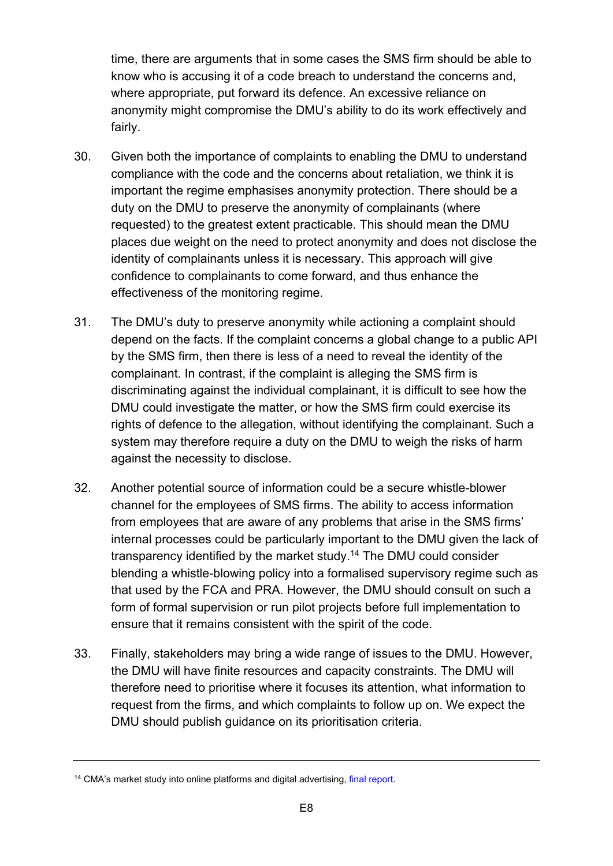time, there are arguments that in some cases the SMS firm should be able to know who is accusing it of a code breach to understand the concerns and, where appropriate, put forward its defence. An excessive reliance on anonymity might compromise the DMU's ability to do its work effectively and fairly.

- 30. Given both the importance of complaints to enabling the DMU to understand compliance with the code and the concerns about retaliation, we think it is important the regime emphasises anonymity protection. There should be a duty on the DMU to preserve the anonymity of complainants (where requested) to the greatest extent practicable. This should mean the DMU places due weight on the need to protect anonymity and does not disclose the identity of complainants unless it is necessary. This approach will give confidence to complainants to come forward, and thus enhance the effectiveness of the monitoring regime.
- 31. The DMU's duty to preserve anonymity while actioning a complaint should depend on the facts. If the complaint concerns a global change to a public API by the SMS firm, then there is less of a need to reveal the identity of the complainant. In contrast, if the complaint is alleging the SMS firm is discriminating against the individual complainant, it is difficult to see how the DMU could investigate the matter, or how the SMS firm could exercise its rights of defence to the allegation, without identifying the complainant. Such a system may therefore require a duty on the DMU to weigh the risks of harm against the necessity to disclose.
- 32. Another potential source of information could be a secure whistle-blower channel for the employees of SMS firms. The ability to access information from employees that are aware of any problems that arise in the SMS firms' internal processes could be particularly important to the DMU given the lack of transparency identified by the market study. <sup>14</sup> The DMU could consider blending a whistle-blowing policy into a formalised supervisory regime such as that used by the FCA and PRA. However, the DMU should consult on such a form of formal supervision or run pilot projects before full implementation to ensure that it remains consistent with the spirit of the code.
- 33. Finally, stakeholders may bring a wide range of issues to the DMU. However, the DMU will have finite resources and capacity constraints. The DMU will therefore need to prioritise where it focuses its attention, what information to request from the firms, and which complaints to follow up on. We expect the DMU should publish guidance on its prioritisation criteria.

<sup>&</sup>lt;sup>14</sup> CMA's market study into online platforms and digital advertising, [final report.](https://assets.publishing.service.gov.uk/media/5efc57ed3a6f4023d242ed56/Final_report_1_July_2020_.pdf)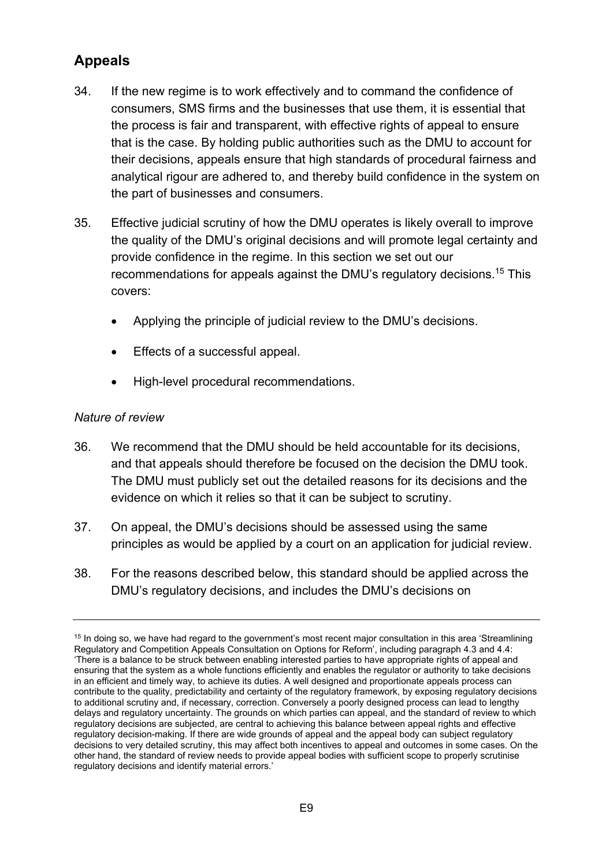## **Appeals**

- 34. If the new regime is to work effectively and to command the confidence of consumers, SMS firms and the businesses that use them, it is essential that the process is fair and transparent, with effective rights of appeal to ensure that is the case. By holding public authorities such as the DMU to account for their decisions, appeals ensure that high standards of procedural fairness and analytical rigour are adhered to, and thereby build confidence in the system on the part of businesses and consumers.
- 35. Effective judicial scrutiny of how the DMU operates is likely overall to improve the quality of the DMU's original decisions and will promote legal certainty and provide confidence in the regime. In this section we set out our recommendations for appeals against the DMU's regulatory decisions.<sup>15</sup> This covers:
	- Applying the principle of judicial review to the DMU's decisions.
	- Effects of a successful appeal.
	- High-level procedural recommendations.

### *Nature of review*

- 36. We recommend that the DMU should be held accountable for its decisions, and that appeals should therefore be focused on the decision the DMU took. The DMU must publicly set out the detailed reasons for its decisions and the evidence on which it relies so that it can be subject to scrutiny.
- 37. On appeal, the DMU's decisions should be assessed using the same principles as would be applied by a court on an application for judicial review.
- 38. For the reasons described below, this standard should be applied across the DMU's regulatory decisions, and includes the DMU's decisions on

<sup>&</sup>lt;sup>15</sup> In doing so, we have had regard to the government's most recent major consultation in this area 'Streamlining Regulatory and Competition Appeals Consultation on Options for Reform', including paragraph 4.3 and 4.4: 'There is a balance to be struck between enabling interested parties to have appropriate rights of appeal and ensuring that the system as a whole functions efficiently and enables the regulator or authority to take decisions in an efficient and timely way, to achieve its duties. A well designed and proportionate appeals process can contribute to the quality, predictability and certainty of the regulatory framework, by exposing regulatory decisions to additional scrutiny and, if necessary, correction. Conversely a poorly designed process can lead to lengthy delays and regulatory uncertainty. The grounds on which parties can appeal, and the standard of review to which regulatory decisions are subjected, are central to achieving this balance between appeal rights and effective regulatory decision-making. If there are wide grounds of appeal and the appeal body can subject regulatory decisions to very detailed scrutiny, this may affect both incentives to appeal and outcomes in some cases. On the other hand, the standard of review needs to provide appeal bodies with sufficient scope to properly scrutinise regulatory decisions and identify material errors.'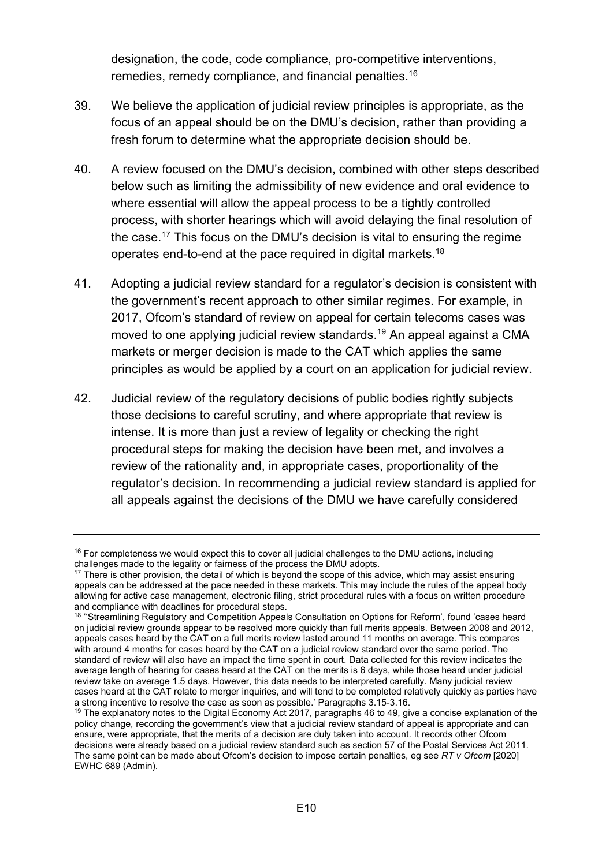designation, the code, code compliance, pro-competitive interventions, remedies, remedy compliance, and financial penalties. 16

- 39. We believe the application of judicial review principles is appropriate, as the focus of an appeal should be on the DMU's decision, rather than providing a fresh forum to determine what the appropriate decision should be.
- 40. A review focused on the DMU's decision, combined with other steps described below such as limiting the admissibility of new evidence and oral evidence to where essential will allow the appeal process to be a tightly controlled process, with shorter hearings which will avoid delaying the final resolution of the case.<sup>17</sup> This focus on the DMU's decision is vital to ensuring the regime operates end-to-end at the pace required in digital markets.<sup>18</sup>
- 41. Adopting a judicial review standard for a regulator's decision is consistent with the government's recent approach to other similar regimes. For example, in 2017, Ofcom's standard of review on appeal for certain telecoms cases was moved to one applying judicial review standards.<sup>19</sup> An appeal against a CMA markets or merger decision is made to the CAT which applies the same principles as would be applied by a court on an application for judicial review.
- 42. Judicial review of the regulatory decisions of public bodies rightly subjects those decisions to careful scrutiny, and where appropriate that review is intense. It is more than just a review of legality or checking the right procedural steps for making the decision have been met, and involves a review of the rationality and, in appropriate cases, proportionality of the regulator's decision. In recommending a judicial review standard is applied for all appeals against the decisions of the DMU we have carefully considered

 $16$  For completeness we would expect this to cover all judicial challenges to the DMU actions, including challenges made to the legality or fairness of the process the DMU adopts.

 $17$  There is other provision, the detail of which is bevond the scope of this advice, which may assist ensuring appeals can be addressed at the pace needed in these markets. This may include the rules of the appeal body allowing for active case management, electronic filing, strict procedural rules with a focus on written procedure and compliance with deadlines for procedural steps.

<sup>&</sup>lt;sup>18</sup> "Streamlining Regulatory and Competition Appeals Consultation on Options for Reform', found 'cases heard on judicial review grounds appear to be resolved more quickly than full merits appeals. Between 2008 and 2012, appeals cases heard by the CAT on a full merits review lasted around 11 months on average. This compares with around 4 months for cases heard by the CAT on a judicial review standard over the same period. The standard of review will also have an impact the time spent in court. Data collected for this review indicates the average length of hearing for cases heard at the CAT on the merits is 6 days, while those heard under judicial review take on average 1.5 days. However, this data needs to be interpreted carefully. Many judicial review cases heard at the CAT relate to merger inquiries, and will tend to be completed relatively quickly as parties have a strong incentive to resolve the case as soon as possible.' Paragraphs 3.15-3.16.

<sup>&</sup>lt;sup>19</sup> The explanatory notes to the Digital Economy Act 2017, paragraphs 46 to 49, give a concise explanation of the policy change, recording the government's view that a judicial review standard of appeal is appropriate and can ensure, were appropriate, that the merits of a decision are duly taken into account. It records other Ofcom decisions were already based on a judicial review standard such as section 57 of the Postal Services Act 2011. The same point can be made about Ofcom's decision to impose certain penalties, eg see *RT v Ofcom* [2020] EWHC 689 (Admin).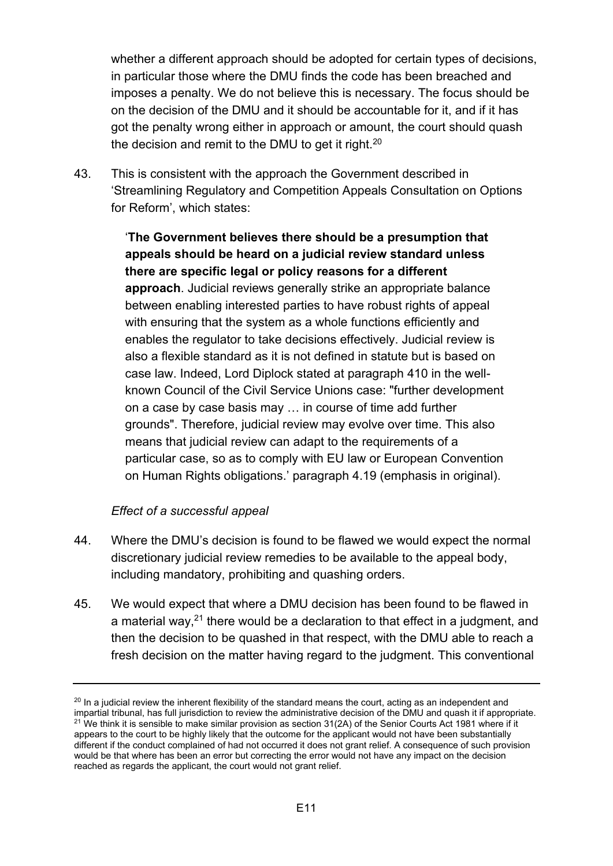whether a different approach should be adopted for certain types of decisions, in particular those where the DMU finds the code has been breached and imposes a penalty. We do not believe this is necessary. The focus should be on the decision of the DMU and it should be accountable for it, and if it has got the penalty wrong either in approach or amount, the court should quash the decision and remit to the DMU to get it right.<sup>20</sup>

43. This is consistent with the approach the Government described in 'Streamlining Regulatory and Competition Appeals Consultation on Options for Reform', which states:

> '**The Government believes there should be a presumption that appeals should be heard on a judicial review standard unless there are specific legal or policy reasons for a different approach**. Judicial reviews generally strike an appropriate balance between enabling interested parties to have robust rights of appeal with ensuring that the system as a whole functions efficiently and enables the regulator to take decisions effectively. Judicial review is also a flexible standard as it is not defined in statute but is based on case law. Indeed, Lord Diplock stated at paragraph 410 in the wellknown Council of the Civil Service Unions case: "further development on a case by case basis may … in course of time add further grounds". Therefore, judicial review may evolve over time. This also means that judicial review can adapt to the requirements of a particular case, so as to comply with EU law or European Convention on Human Rights obligations.' paragraph 4.19 (emphasis in original).

### *Effect of a successful appeal*

- 44. Where the DMU's decision is found to be flawed we would expect the normal discretionary judicial review remedies to be available to the appeal body, including mandatory, prohibiting and quashing orders.
- 45. We would expect that where a DMU decision has been found to be flawed in a material way, $21$  there would be a declaration to that effect in a judgment, and then the decision to be quashed in that respect, with the DMU able to reach a fresh decision on the matter having regard to the judgment. This conventional

 $20$  In a judicial review the inherent flexibility of the standard means the court, acting as an independent and impartial tribunal, has full jurisdiction to review the administrative decision of the DMU and quash it if appropriate.  $21$  We think it is sensible to make similar provision as section 31(2A) of the Senior Courts Act 1981 where if it appears to the court to be highly likely that the outcome for the applicant would not have been substantially different if the conduct complained of had not occurred it does not grant relief. A consequence of such provision would be that where has been an error but correcting the error would not have any impact on the decision reached as regards the applicant, the court would not grant relief.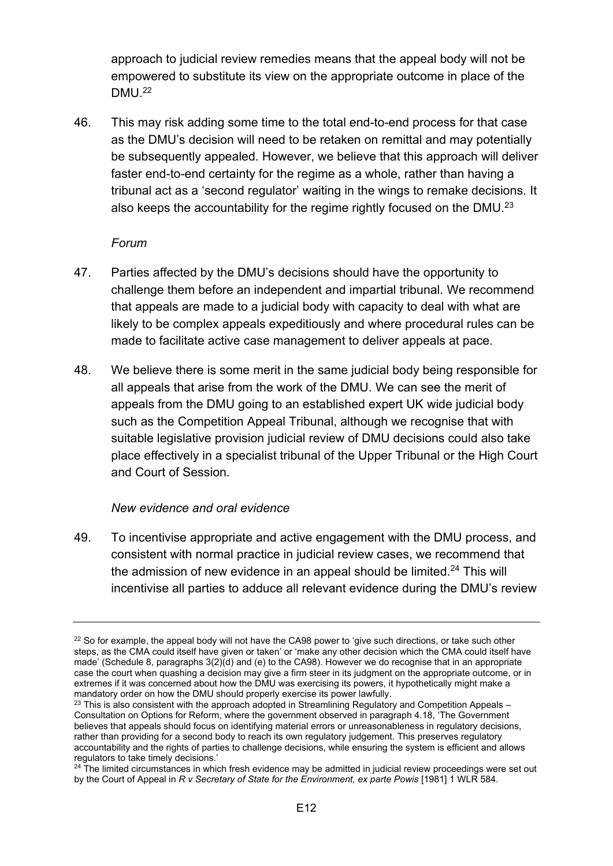approach to judicial review remedies means that the appeal body will not be empowered to substitute its view on the appropriate outcome in place of the DMU.<sup>22</sup>

46. This may risk adding some time to the total end-to-end process for that case as the DMU's decision will need to be retaken on remittal and may potentially be subsequently appealed. However, we believe that this approach will deliver faster end-to-end certainty for the regime as a whole, rather than having a tribunal act as a 'second regulator' waiting in the wings to remake decisions. It also keeps the accountability for the regime rightly focused on the DMU.<sup>23</sup>

#### *Forum*

- 47. Parties affected by the DMU's decisions should have the opportunity to challenge them before an independent and impartial tribunal. We recommend that appeals are made to a judicial body with capacity to deal with what are likely to be complex appeals expeditiously and where procedural rules can be made to facilitate active case management to deliver appeals at pace.
- 48. We believe there is some merit in the same judicial body being responsible for all appeals that arise from the work of the DMU. We can see the merit of appeals from the DMU going to an established expert UK wide judicial body such as the Competition Appeal Tribunal, although we recognise that with suitable legislative provision judicial review of DMU decisions could also take place effectively in a specialist tribunal of the Upper Tribunal or the High Court and Court of Session.

### *New evidence and oral evidence*

49. To incentivise appropriate and active engagement with the DMU process, and consistent with normal practice in judicial review cases, we recommend that the admission of new evidence in an appeal should be limited. <sup>24</sup> This will incentivise all parties to adduce all relevant evidence during the DMU's review

 $22$  So for example, the appeal body will not have the CA98 power to 'give such directions, or take such other steps, as the CMA could itself have given or taken' or 'make any other decision which the CMA could itself have made' (Schedule 8, paragraphs 3(2)(d) and (e) to the CA98). However we do recognise that in an appropriate case the court when quashing a decision may give a firm steer in its judgment on the appropriate outcome, or in extremes if it was concerned about how the DMU was exercising its powers, it hypothetically might make a mandatory order on how the DMU should properly exercise its power lawfully.

 $^{23}$  This is also consistent with the approach adopted in Streamlining Regulatory and Competition Appeals – Consultation on Options for Reform, where the government observed in paragraph 4.18, 'The Government believes that appeals should focus on identifying material errors or unreasonableness in regulatory decisions, rather than providing for a second body to reach its own regulatory judgement. This preserves regulatory accountability and the rights of parties to challenge decisions, while ensuring the system is efficient and allows regulators to take timely decisions.'

<sup>&</sup>lt;sup>24</sup> The limited circumstances in which fresh evidence may be admitted in judicial review proceedings were set out by the Court of Appeal in *R v Secretary of State for the Environment, ex parte Powis* [1981] 1 WLR 584.